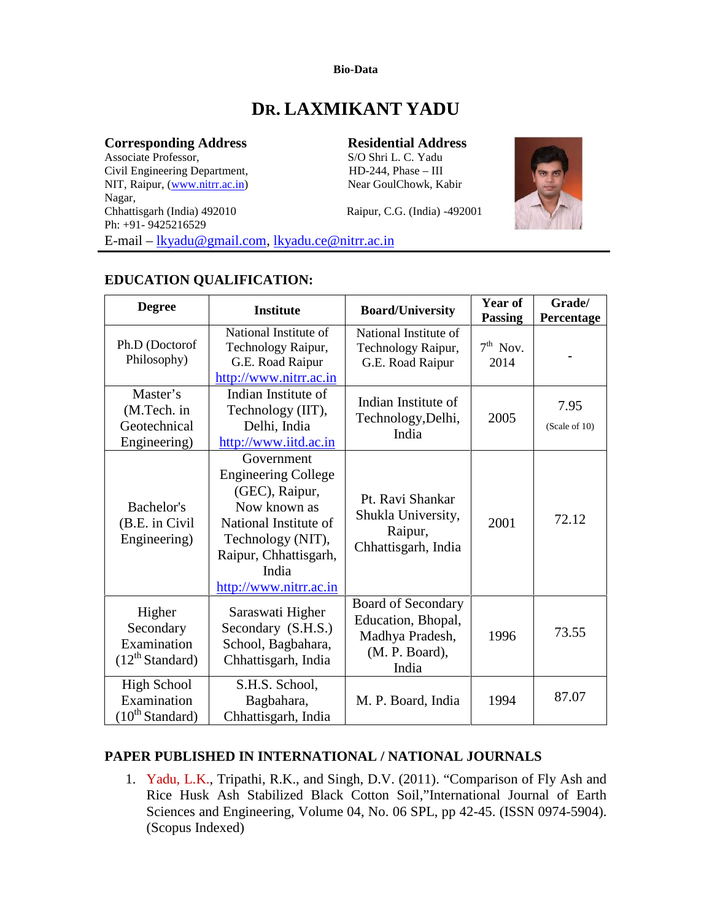#### **Bio-Data**

# **DR. LAXMIKANT YADU**

#### **Corresponding Address Residential Address**

Associate Professor, S/O Shri L. C. Yadu<br>Civil Engineering Department, HD-244, Phase – III Civil Engineering Department, NIT, Raipur, (www.nitrr.ac.in) Near GoulChowk, Kabir Nagar,<br>Chhattisgarh (India) 492010 Raipur, C.G. (India) -492001 Ph: +91- 9425216529 E-mail – lkyadu@gmail.com, lkyadu.ce@nitrr.ac.in



# **EDUCATION QUALIFICATION:**

| <b>Degree</b>                                                     | <b>Institute</b>                                                                                                                                                                     | <b>Board/University</b>                                                                | Year of<br><b>Passing</b> | Grade/<br>Percentage  |
|-------------------------------------------------------------------|--------------------------------------------------------------------------------------------------------------------------------------------------------------------------------------|----------------------------------------------------------------------------------------|---------------------------|-----------------------|
| Ph.D (Doctorof<br>Philosophy)                                     | National Institute of<br>Technology Raipur,<br>G.E. Road Raipur<br>http://www.nitrr.ac.in                                                                                            | National Institute of<br>Technology Raipur,<br>G.E. Road Raipur                        | $7th$ Nov.<br>2014        |                       |
| Master's<br>(M.Tech. in<br>Geotechnical<br>Engineering)           | Indian Institute of<br>Technology (IIT),<br>Delhi, India<br>http://www.iitd.ac.in                                                                                                    | Indian Institute of<br>Technology, Delhi,<br>India                                     | 2005                      | 7.95<br>(Scale of 10) |
| Bachelor's<br>(B.E. in Civil<br>Engineering)                      | Government<br><b>Engineering College</b><br>(GEC), Raipur,<br>Now known as<br>National Institute of<br>Technology (NIT),<br>Raipur, Chhattisgarh,<br>India<br>http://www.nitrr.ac.in | Pt. Ravi Shankar<br>Shukla University,<br>Raipur,<br>Chhattisgarh, India               | 2001                      | 72.12                 |
| Higher<br>Secondary<br>Examination<br>(12 <sup>th</sup> Standard) | Saraswati Higher<br>Secondary (S.H.S.)<br>School, Bagbahara,<br>Chhattisgarh, India                                                                                                  | Board of Secondary<br>Education, Bhopal,<br>Madhya Pradesh,<br>(M. P. Board),<br>India | 1996                      | 73.55                 |
| <b>High School</b><br>Examination<br>(10 <sup>th</sup> Standard)  | S.H.S. School,<br>Bagbahara,<br>Chhattisgarh, India                                                                                                                                  | M. P. Board, India                                                                     | 1994                      | 87.07                 |

# **PAPER PUBLISHED IN INTERNATIONAL / NATIONAL JOURNALS**

1. Yadu, L.K., Tripathi, R.K., and Singh, D.V. (2011). "Comparison of Fly Ash and Rice Husk Ash Stabilized Black Cotton Soil,"International Journal of Earth Sciences and Engineering, Volume 04, No. 06 SPL, pp 42-45. (ISSN 0974-5904). (Scopus Indexed)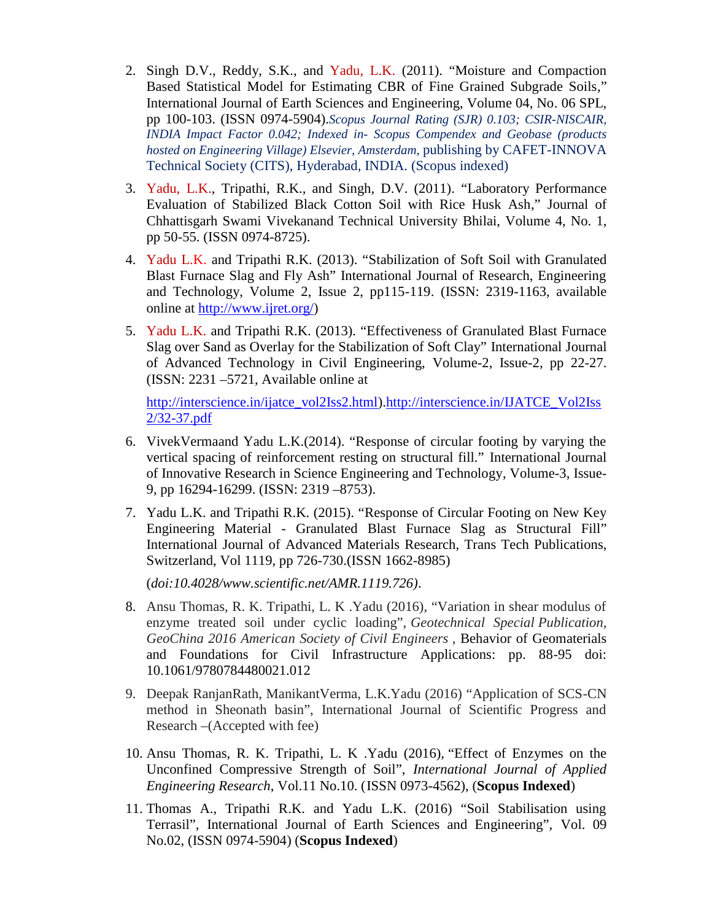- 2. Singh D.V., Reddy, S.K., and Yadu, L.K. (2011). "Moisture and Compaction Based Statistical Model for Estimating CBR of Fine Grained Subgrade Soils," International Journal of Earth Sciences and Engineering, Volume 04, No. 06 SPL, pp 100-103. (ISSN 0974-5904).*Scopus Journal Rating (SJR) 0.103; CSIR-NISCAIR, INDIA Impact Factor 0.042; Indexed in- Scopus Compendex and Geobase (products hosted on Engineering Village) Elsevier, Amsterdam,* publishing by CAFET-INNOVA Technical Society (CITS), Hyderabad, INDIA. (Scopus indexed)
- 3. Yadu, L.K., Tripathi, R.K., and Singh, D.V. (2011). "Laboratory Performance Evaluation of Stabilized Black Cotton Soil with Rice Husk Ash," Journal of Chhattisgarh Swami Vivekanand Technical University Bhilai, Volume 4, No. 1, pp 50-55. (ISSN 0974-8725).
- 4. Yadu L.K. and Tripathi R.K. (2013). "Stabilization of Soft Soil with Granulated Blast Furnace Slag and Fly Ash" International Journal of Research, Engineering and Technology, Volume 2, Issue 2, pp115-119. (ISSN: 2319-1163, available online at http://www.ijret.org/)
- 5. Yadu L.K. and Tripathi R.K. (2013). "Effectiveness of Granulated Blast Furnace Slag over Sand as Overlay for the Stabilization of Soft Clay" International Journal of Advanced Technology in Civil Engineering, Volume-2, Issue-2, pp 22-27. (ISSN: 2231 –5721, Available online at

http://interscience.in/ijatce\_vol2Iss2.html).http://interscience.in/IJATCE\_Vol2Iss 2/32-37.pdf

- 6. VivekVermaand Yadu L.K.(2014). "Response of circular footing by varying the vertical spacing of reinforcement resting on structural fill." International Journal of Innovative Research in Science Engineering and Technology, Volume-3, Issue- 9, pp 16294-16299. (ISSN: 2319 –8753).
- 7. Yadu L.K. and Tripathi R.K. (2015). "Response of Circular Footing on New Key Engineering Material - Granulated Blast Furnace Slag as Structural Fill" International Journal of Advanced Materials Research, Trans Tech Publications, Switzerland, Vol 1119, pp 726-730.(ISSN 1662-8985)

(*doi:10.4028/www.scientific.net/AMR.1119.726)*.

- 8. Ansu Thomas, R. K. Tripathi, L. K .Yadu (2016), "Variation in shear modulus of enzyme treated soil under cyclic loading", *Geotechnical Special Publication, GeoChina 2016 American Society of Civil Engineers* , Behavior of Geomaterials and Foundations for Civil Infrastructure Applications: pp. 88-95 doi: 10.1061/9780784480021.012
- 9. Deepak RanjanRath, ManikantVerma, L.K.Yadu (2016) "Application of SCS-CN method in Sheonath basin", International Journal of Scientific Progress and Research –(Accepted with fee)
- 10. Ansu Thomas, R. K. Tripathi, L. K .Yadu (2016), "Effect of Enzymes on the Unconfined Compressive Strength of Soil", *International Journal of Applied Engineering Research*, Vol.11 No.10. (ISSN 0973-4562), (**Scopus Indexed**)
- 11. Thomas A., Tripathi R.K. and Yadu L.K. (2016) "Soil Stabilisation using Terrasil", International Journal of Earth Sciences and Engineering", Vol. 09 No.02, (ISSN 0974-5904) (**Scopus Indexed**)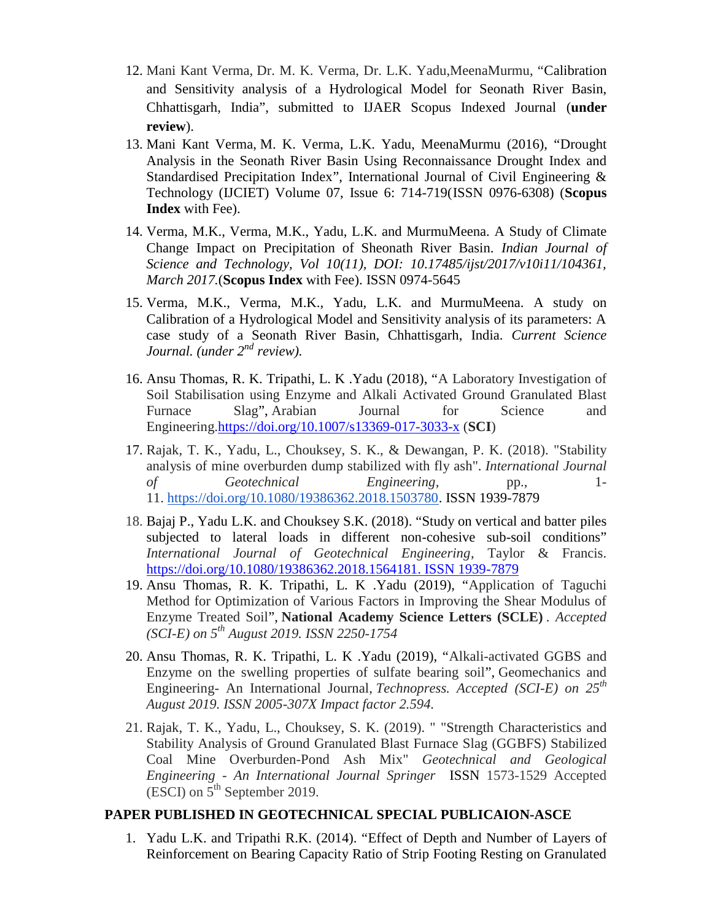- 12. Mani Kant Verma, Dr. M. K. Verma, Dr. L.K. Yadu,MeenaMurmu, "Calibration and Sensitivity analysis of a Hydrological Model for Seonath River Basin, Chhattisgarh, India", submitted to IJAER Scopus Indexed Journal (**under review**).
- 13. Mani Kant Verma, M. K. Verma, L.K. Yadu, MeenaMurmu (2016), "Drought Analysis in the Seonath River Basin Using Reconnaissance Drought Index and Standardised Precipitation Index", International Journal of Civil Engineering & Technology (IJCIET) Volume 07, Issue 6: 714-719(ISSN 0976-6308) (**Scopus Index** with Fee).
- 14. Verma, M.K., Verma, M.K., Yadu, L.K. and MurmuMeena. A Study of Climate Change Impact on Precipitation of Sheonath River Basin. *Indian Journal of Science and Technology, Vol 10(11), DOI: 10.17485/ijst/2017/v10i11/104361, March 2017.*(**Scopus Index** with Fee). ISSN 0974-5645
- 15. Verma, M.K., Verma, M.K., Yadu, L.K. and MurmuMeena. A study on Calibration of a Hydrological Model and Sensitivity analysis of its parameters: A case study of a Seonath River Basin, Chhattisgarh, India. *Current Science Journal. (under 2nd review).*
- 16. Ansu Thomas, R. K. Tripathi, L. K .Yadu (2018), "A Laboratory Investigation of Soil Stabilisation using Enzyme and Alkali Activated Ground Granulated Blast Furnace Slag", Arabian Journal for Science and Engineering.https://doi.org/10.1007/s13369-017-3033-x (**SCI**)
- 17. Rajak, T. K., Yadu, L., Chouksey, S. K., & Dewangan, P. K. (2018). "Stability analysis of mine overburden dump stabilized with fly ash". *International Journal of Geotechnical Engineering*, pp., 1- 11. https://doi.org/10.1080/19386362.2018.1503780. ISSN 1939-7879
- 18. Bajaj P., Yadu L.K. and Chouksey S.K. (2018). "Study on vertical and batter piles subjected to lateral loads in different non-cohesive sub-soil conditions" *International Journal of Geotechnical Engineering*, Taylor & Francis. https://doi.org/10.1080/19386362.2018.1564181. ISSN 1939-7879
- 19. Ansu Thomas, R. K. Tripathi, L. K .Yadu (2019), "Application of Taguchi Method for Optimization of Various Factors in Improving the Shear Modulus of Enzyme Treated Soil", **National Academy Science Letters (SCLE)** *. Accepted (SCI-E) on 5th August 2019. ISSN 2250-1754*
- 20. Ansu Thomas, R. K. Tripathi, L. K .Yadu (2019), "Alkali-activated GGBS and Enzyme on the swelling properties of sulfate bearing soil", Geomechanics and Engineering- An International Journal, *Technopress. Accepted (SCI-E) on 25th August 2019. ISSN 2005-307X Impact factor 2.594.*
- 21. Rajak, T. K., Yadu, L., Chouksey, S. K. (2019). " "Strength Characteristics and Stability Analysis of Ground Granulated Blast Furnace Slag (GGBFS) Stabilized Coal Mine Overburden-Pond Ash Mix" *Geotechnical and Geological Engineering - An International Journal Springer* ISSN 1573-1529 Accepted  $(ESCI)$  on  $5<sup>th</sup>$  September 2019.

#### **PAPER PUBLISHED IN GEOTECHNICAL SPECIAL PUBLICAION-ASCE**

1. Yadu L.K. and Tripathi R.K. (2014). "Effect of Depth and Number of Layers of Reinforcement on Bearing Capacity Ratio of Strip Footing Resting on Granulated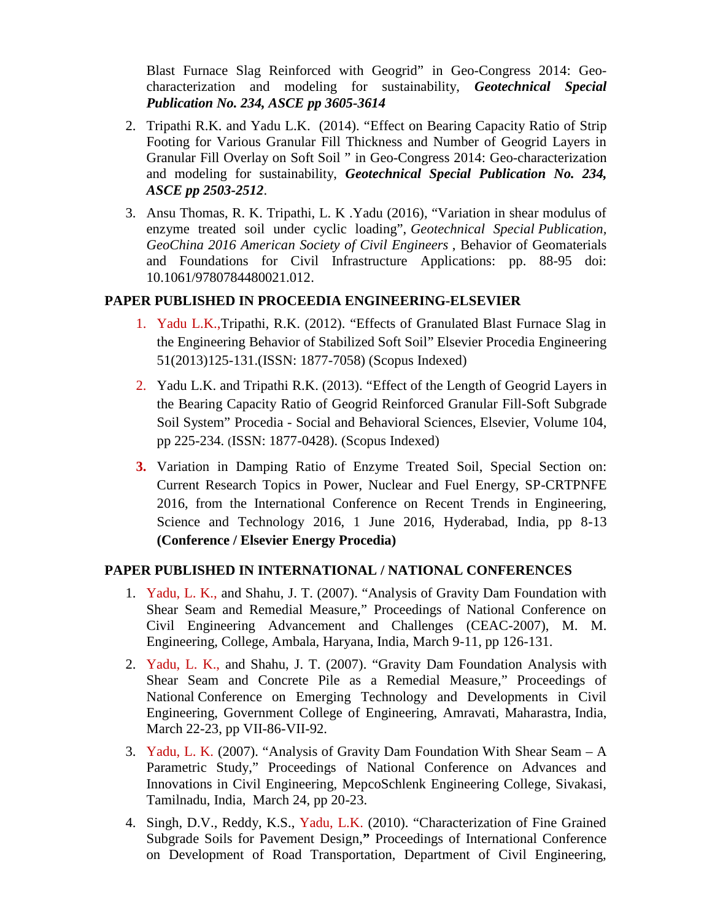Blast Furnace Slag Reinforced with Geogrid" in Geo-Congress 2014: Geo characterization and modeling for sustainability, *Geotechnical Special Publication No. 234, ASCE pp 3605-3614*

- 2. Tripathi R.K. and Yadu L.K. (2014). "Effect on Bearing Capacity Ratio of Strip Footing for Various Granular Fill Thickness and Number of Geogrid Layers in Granular Fill Overlay on Soft Soil " in Geo-Congress 2014: Geo-characterization and modeling for sustainability, *Geotechnical Special Publication No. 234, ASCE pp 2503-2512*.
- 3. Ansu Thomas, R. K. Tripathi, L. K .Yadu (2016), "Variation in shear modulus of enzyme treated soil under cyclic loading", *Geotechnical Special Publication, GeoChina 2016 American Society of Civil Engineers* , Behavior of Geomaterials and Foundations for Civil Infrastructure Applications: pp. 88-95 doi: 10.1061/9780784480021.012.

# **PAPER PUBLISHED IN PROCEEDIA ENGINEERING-ELSEVIER**

- 1. Yadu L.K.,Tripathi, R.K. (2012). "Effects of Granulated Blast Furnace Slag in the Engineering Behavior of Stabilized Soft Soil" Elsevier Procedia Engineering 51(2013)125-131.(ISSN: 1877-7058) (Scopus Indexed)
- 2. Yadu L.K. and Tripathi R.K. (2013). "Effect of the Length of Geogrid Layers in the Bearing Capacity Ratio of Geogrid Reinforced Granular Fill-Soft Subgrade Soil System" Procedia - Social and Behavioral Sciences, Elsevier, Volume 104, pp 225-234. (ISSN: 1877-0428). (Scopus Indexed)
- **3.** Variation in Damping Ratio of Enzyme Treated Soil, Special Section on: Current Research Topics in Power, Nuclear and Fuel Energy, SP-CRTPNFE 2016, from the International Conference on Recent Trends in Engineering, Science and Technology 2016, 1 June 2016, Hyderabad, India, pp 8-13 **(Conference / Elsevier Energy Procedia)**

# **PAPER PUBLISHED IN INTERNATIONAL / NATIONAL CONFERENCES**

- 1. Yadu, L. K., and Shahu, J. T. (2007). "Analysis of Gravity Dam Foundation with Shear Seam and Remedial Measure," Proceedings of National Conference on Civil Engineering Advancement and Challenges (CEAC-2007), M. M. Engineering, College, Ambala, Haryana, India, March 9-11, pp 126-131.
- 2. Yadu, L. K., and Shahu, J. T. (2007). "Gravity Dam Foundation Analysis with Shear Seam and Concrete Pile as a Remedial Measure," Proceedings of National Conference on Emerging Technology and Developments in Civil Engineering, Government College of Engineering, Amravati, Maharastra, India, March 22-23, pp VII-86-VII-92.
- 3. Yadu, L. K. (2007). "Analysis of Gravity Dam Foundation With Shear Seam A Parametric Study," Proceedings of National Conference on Advances and Innovations in Civil Engineering, MepcoSchlenk Engineering College, Sivakasi, Tamilnadu, India, March 24, pp 20-23.
- 4. Singh, D.V., Reddy, K.S., Yadu, L.K. (2010). "Characterization of Fine Grained Subgrade Soils for Pavement Design,**"** Proceedings of International Conference on Development of Road Transportation, Department of Civil Engineering,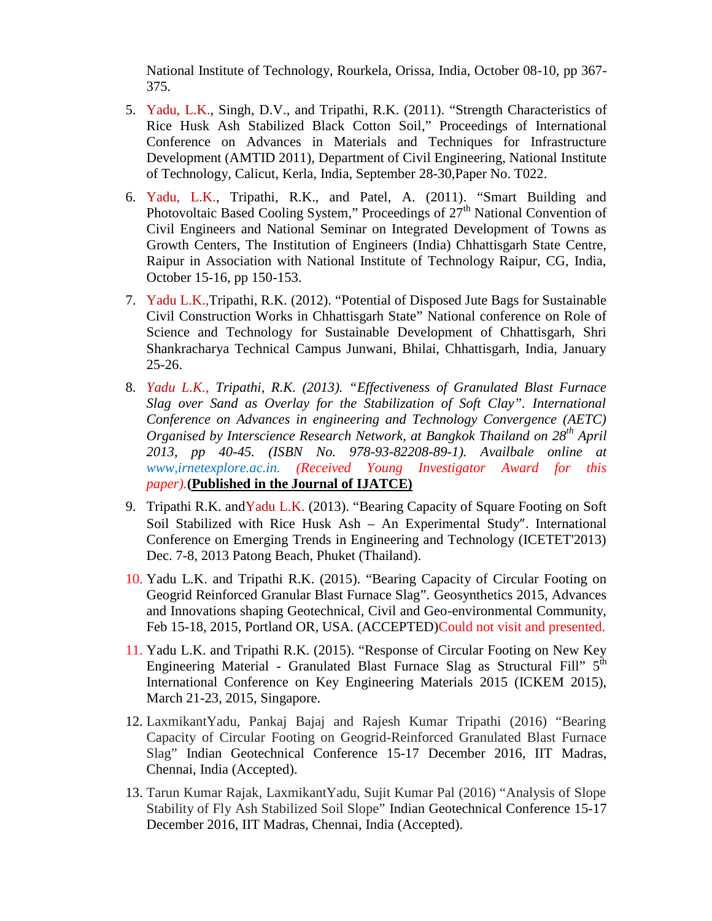National Institute of Technology, Rourkela, Orissa, India, October 08-10, pp 367- 375.

- 5. Yadu, L.K., Singh, D.V., and Tripathi, R.K. (2011). "Strength Characteristics of Rice Husk Ash Stabilized Black Cotton Soil," Proceedings of International Conference on Advances in Materials and Techniques for Infrastructure Development (AMTID 2011), Department of Civil Engineering, National Institute of Technology, Calicut, Kerla, India, September 28-30,Paper No. T022.
- 6. Yadu, L.K., Tripathi, R.K., and Patel, A. (2011). "Smart Building and Photovoltaic Based Cooling System," Proceedings of  $27<sup>th</sup>$  National Convention of Civil Engineers and National Seminar on Integrated Development of Towns as Growth Centers, The Institution of Engineers (India) Chhattisgarh State Centre, Raipur in Association with National Institute of Technology Raipur, CG, India, October 15-16, pp 150-153.
- 7. Yadu L.K.,Tripathi, R.K. (2012). "Potential of Disposed Jute Bags for Sustainable Civil Construction Works in Chhattisgarh State" National conference on Role of Science and Technology for Sustainable Development of Chhattisgarh, Shri Shankracharya Technical Campus Junwani, Bhilai, Chhattisgarh, India, January 25-26.
- 8. *Yadu L.K., Tripathi, R.K. (2013). "Effectiveness of Granulated Blast Furnace Slag over Sand as Overlay for the Stabilization of Soft Clay". International Conference on Advances in engineering and Technology Convergence (AETC) Organised by Interscience Research Network, at Bangkok Thailand on 28th April 2013, pp 40-45. (ISBN No. 978-93-82208-89-1). Availbale online at www,irnetexplore.ac.in. (Received Young Investigator Award for this paper).***(Published in the Journal of IJATCE)**
- 9. Tripathi R.K. and Yadu L.K. (2013). "Bearing Capacity of Square Footing on Soft Soil Stabilized with Rice Husk Ash – An Experimental Study". International Conference on Emerging Trends in Engineering and Technology (ICETET'2013) Dec. 7-8, 2013 Patong Beach, Phuket (Thailand).
- 10. Yadu L.K. and Tripathi R.K. (2015). "Bearing Capacity of Circular Footing on Geogrid Reinforced Granular Blast Furnace Slag". Geosynthetics 2015, Advances and Innovations shaping Geotechnical, Civil and Geo-environmental Community, Feb 15-18, 2015, Portland OR, USA. (ACCEPTED)Could not visit and presented.
- 11. Yadu L.K. and Tripathi R.K. (2015). "Response of Circular Footing on New Key Engineering Material - Granulated Blast Furnace Slag as Structural Fill"  $5<sup>th</sup>$ International Conference on Key Engineering Materials 2015 (ICKEM 2015), March 21-23, 2015, Singapore.
- 12. LaxmikantYadu, Pankaj Bajaj and Rajesh Kumar Tripathi (2016) "Bearing Capacity of Circular Footing on Geogrid-Reinforced Granulated Blast Furnace Slag" Indian Geotechnical Conference 15-17 December 2016, IIT Madras, Chennai, India (Accepted).
- 13. Tarun Kumar Rajak, LaxmikantYadu, Sujit Kumar Pal (2016) "Analysis of Slope Stability of Fly Ash Stabilized Soil Slope" Indian Geotechnical Conference 15-17 December 2016, IIT Madras, Chennai, India (Accepted).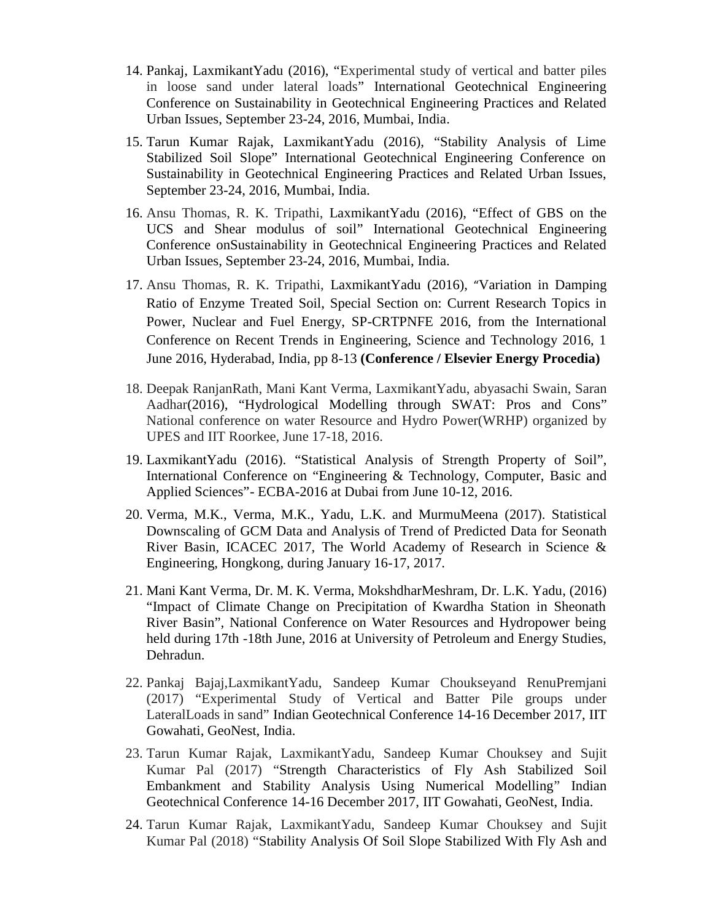- 14. Pankaj, LaxmikantYadu (2016), "Experimental study of vertical and batter piles in loose sand under lateral loads" International Geotechnical Engineering Conference on Sustainability in Geotechnical Engineering Practices and Related Urban Issues, September 23-24, 2016, Mumbai, India.
- 15. Tarun Kumar Rajak, LaxmikantYadu (2016), "Stability Analysis of Lime Stabilized Soil Slope" International Geotechnical Engineering Conference on Sustainability in Geotechnical Engineering Practices and Related Urban Issues, September 23-24, 2016, Mumbai, India.
- 16. Ansu Thomas, R. K. Tripathi, LaxmikantYadu (2016), "Effect of GBS on the UCS and Shear modulus of soil" International Geotechnical Engineering Conference onSustainability in Geotechnical Engineering Practices and Related Urban Issues, September 23-24, 2016, Mumbai, India.
- 17. Ansu Thomas, R. K. Tripathi, LaxmikantYadu (2016), "Variation in Damping Ratio of Enzyme Treated Soil, Special Section on: Current Research Topics in Power, Nuclear and Fuel Energy, SP-CRTPNFE 2016, from the International Conference on Recent Trends in Engineering, Science and Technology 2016, 1 June 2016, Hyderabad, India, pp 8-13 **(Conference / Elsevier Energy Procedia)**
- 18. Deepak RanjanRath, Mani Kant Verma, LaxmikantYadu, abyasachi Swain, Saran Aadhar(2016), "Hydrological Modelling through SWAT: Pros and Cons" National conference on water Resource and Hydro Power(WRHP) organized by UPES and IIT Roorkee, June 17-18, 2016.
- 19. LaxmikantYadu (2016). "Statistical Analysis of Strength Property of Soil", International Conference on "Engineering & Technology, Computer, Basic and Applied Sciences"- ECBA-2016 at Dubai from June 10-12, 2016.
- 20. Verma, M.K., Verma, M.K., Yadu, L.K. and MurmuMeena (2017). Statistical Downscaling of GCM Data and Analysis of Trend of Predicted Data for Seonath River Basin, ICACEC 2017, The World Academy of Research in Science & Engineering, Hongkong, during January 16-17, 2017.
- 21. Mani Kant Verma, Dr. M. K. Verma, MokshdharMeshram, Dr. L.K. Yadu, (2016) "Impact of Climate Change on Precipitation of Kwardha Station in Sheonath River Basin", National Conference on Water Resources and Hydropower being held during 17th -18th June, 2016 at University of Petroleum and Energy Studies, Dehradun.
- 22. Pankaj Bajaj,LaxmikantYadu, Sandeep Kumar Choukseyand RenuPremjani (2017) "Experimental Study of Vertical and Batter Pile groups under LateralLoads in sand" Indian Geotechnical Conference 14-16 December 2017, IIT Gowahati, GeoNest, India.
- 23. Tarun Kumar Rajak, LaxmikantYadu, Sandeep Kumar Chouksey and Sujit Kumar Pal (2017) "Strength Characteristics of Fly Ash Stabilized Soil Embankment and Stability Analysis Using Numerical Modelling" Indian Geotechnical Conference 14-16 December 2017, IIT Gowahati, GeoNest, India.
- 24. Tarun Kumar Rajak, LaxmikantYadu, Sandeep Kumar Chouksey and Sujit Kumar Pal (2018) "Stability Analysis Of Soil Slope Stabilized With Fly Ash and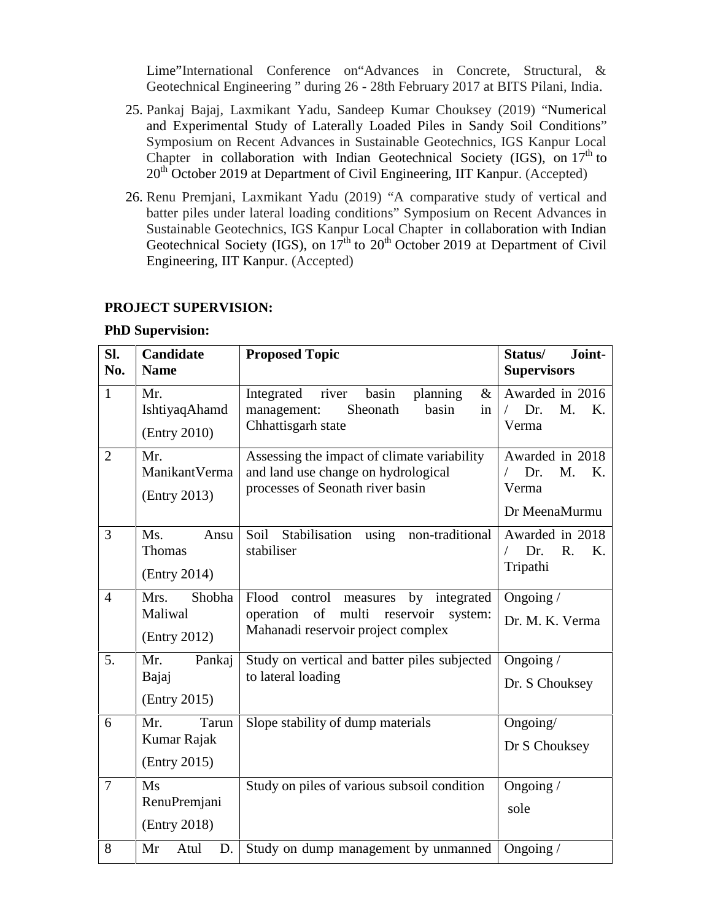Lime"International Conference on"Advances in Concrete, Structural, & Geotechnical Engineering " during 26 - 28th February 2017 at BITS Pilani, India.

- 25. Pankaj Bajaj, Laxmikant Yadu, Sandeep Kumar Chouksey (2019) "Numerical and Experimental Study of Laterally Loaded Piles in Sandy Soil Conditions" Symposium on Recent Advances in Sustainable Geotechnics, IGS Kanpur Local Chapter in collaboration with Indian Geotechnical Society (IGS), on 17<sup>th</sup> to 20<sup>th</sup> October 2019 at Department of Civil Engineering, IIT Kanpur. (Accepted)
- 26. Renu Premjani, Laxmikant Yadu (2019) "A comparative study of vertical and batter piles under lateral loading conditions" Symposium on Recent Advances in Sustainable Geotechnics, IGS Kanpur Local Chapter in collaboration with Indian Geotechnical Society (IGS), on  $17<sup>th</sup>$  to  $20<sup>th</sup>$  October 2019 at Department of Civil Engineering, IIT Kanpur. (Accepted)

#### **PROJECT SUPERVISION:**

#### **PhD Supervision:**

| SI.<br>No.     | Candidate<br><b>Name</b>                    | <b>Proposed Topic</b>                                                                                                                | Joint-<br>Status/<br><b>Supervisors</b>                      |  |
|----------------|---------------------------------------------|--------------------------------------------------------------------------------------------------------------------------------------|--------------------------------------------------------------|--|
| $\mathbf{1}$   | Mr.<br>IshtiyaqAhamd<br>(Entry 2010)        | river<br>basin<br>planning<br>Integrated<br>$\&$<br>Sheonath<br>basin<br>management:<br>in<br>Chhattisgarh state                     | Awarded in 2016<br>M.<br>Dr.<br>K.<br>Verma                  |  |
| $\overline{2}$ | Mr.<br>ManikantVerma<br>(Entry 2013)        | Assessing the impact of climate variability<br>and land use change on hydrological<br>processes of Seonath river basin               | Awarded in 2018<br>Dr.<br>M.<br>K.<br>Verma<br>Dr MeenaMurmu |  |
| 3              | Ms.<br>Ansu<br>Thomas<br>(Entry 2014)       | Soil<br>Stabilisation<br>using non-traditional<br>stabiliser                                                                         | Awarded in 2018<br>Dr.<br>$R_{\cdot}$<br>K.<br>Tripathi      |  |
| $\overline{4}$ | Shobha<br>Mrs.<br>Maliwal<br>(Entry 2012)   | Flood control<br>by integrated<br>measures<br>of<br>multi<br>reservoir<br>operation<br>system:<br>Mahanadi reservoir project complex | Ongoing /<br>Dr. M. K. Verma                                 |  |
| 5.             | Mr.<br>Pankaj<br>Bajaj<br>(Entry 2015)      | Study on vertical and batter piles subjected<br>to lateral loading                                                                   | Ongoing /<br>Dr. S Chouksey                                  |  |
| 6              | Mr.<br>Tarun<br>Kumar Rajak<br>(Entry 2015) | Slope stability of dump materials                                                                                                    | Ongoing/<br>Dr S Chouksey                                    |  |
| $\overline{7}$ | Ms<br>RenuPremjani<br>(Entry 2018)          | Study on piles of various subsoil condition                                                                                          | Ongoing $/$<br>sole                                          |  |
| 8              | Mr<br>Atul<br>D.                            | Study on dump management by unmanned                                                                                                 | Ongoing /                                                    |  |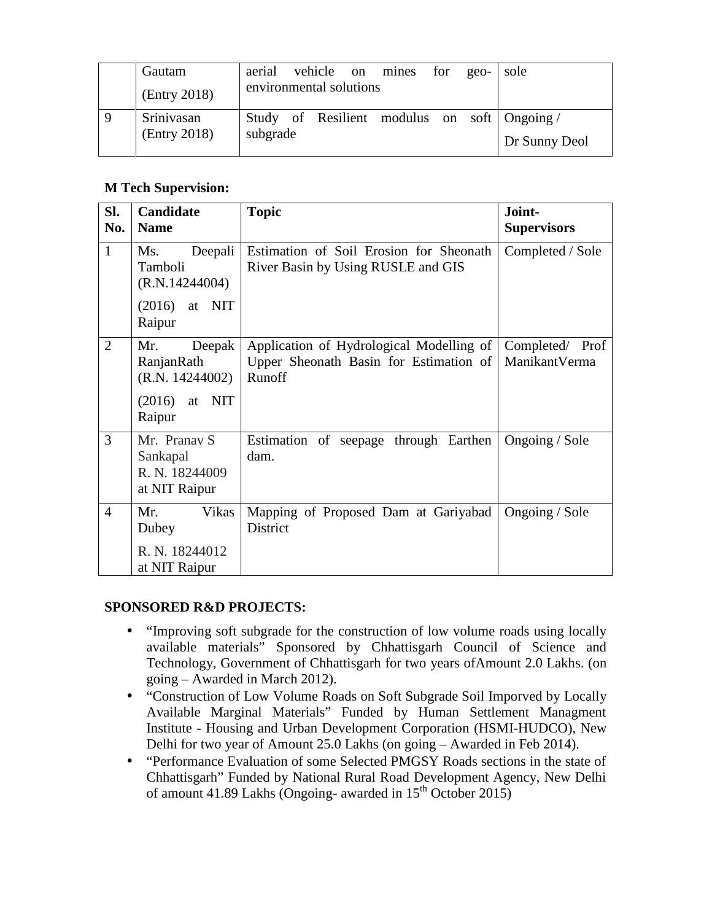| Gautam       | aerial                  |  |  | vehicle on mines for | $geo-$ | sole                                        |
|--------------|-------------------------|--|--|----------------------|--------|---------------------------------------------|
| (Entry 2018) | environmental solutions |  |  |                      |        |                                             |
| Srinivasan   |                         |  |  |                      |        | Study of Resilient modulus on soft Ongoing/ |
| (Entry 2018) | subgrade                |  |  |                      |        | Dr Sunny Deol                               |

# **M Tech Supervision:**

| SI.<br>No.     | <b>Candidate</b><br><b>Name</b>                                             | <b>Topic</b>                                                                                 | Joint-<br><b>Supervisors</b>     |
|----------------|-----------------------------------------------------------------------------|----------------------------------------------------------------------------------------------|----------------------------------|
| $\mathbf{1}$   | Deepali<br>Ms.<br>Tamboli<br>(R.N.14244004)                                 | Estimation of Soil Erosion for Sheonath<br>River Basin by Using RUSLE and GIS                | Completed / Sole                 |
|                | $(2016)$ at NIT<br>Raipur                                                   |                                                                                              |                                  |
| $\overline{2}$ | Deepak<br>Mr.<br>RanjanRath<br>(R.N. 14244002)<br>$(2016)$ at NIT<br>Raipur | Application of Hydrological Modelling of<br>Upper Sheonath Basin for Estimation of<br>Runoff | Completed/ Prof<br>ManikantVerma |
| 3              | Mr. Pranav S<br>Sankapal<br>R. N. 18244009<br>at NIT Raipur                 | Estimation of seepage through Earthen<br>dam.                                                | Ongoing / Sole                   |
| $\overline{4}$ | Mr.<br>Vikas<br>Dubey<br>R. N. 18244012<br>at NIT Raipur                    | Mapping of Proposed Dam at Gariyabad<br>District                                             | Ongoing / Sole                   |

# **SPONSORED R&D PROJECTS:**

- "Improving soft subgrade for the construction of low volume roads using locally available materials" Sponsored by Chhattisgarh Council of Science and Technology, Government of Chhattisgarh for two years ofAmount 2.0 Lakhs. (on going – Awarded in March 2012).
- "Construction of Low Volume Roads on Soft Subgrade Soil Imporved by Locally Available Marginal Materials" Funded by Human Settlement Managment Institute - Housing and Urban Development Corporation (HSMI-HUDCO), New Delhi for two year of Amount 25.0 Lakhs (on going – Awarded in Feb 2014).
- "Performance Evaluation of some Selected PMGSY Roads sections in the state of Chhattisgarh" Funded by National Rural Road Development Agency, New Delhi of amount 41.89 Lakhs (Ongoing- awarded in  $15^{th}$  October 2015)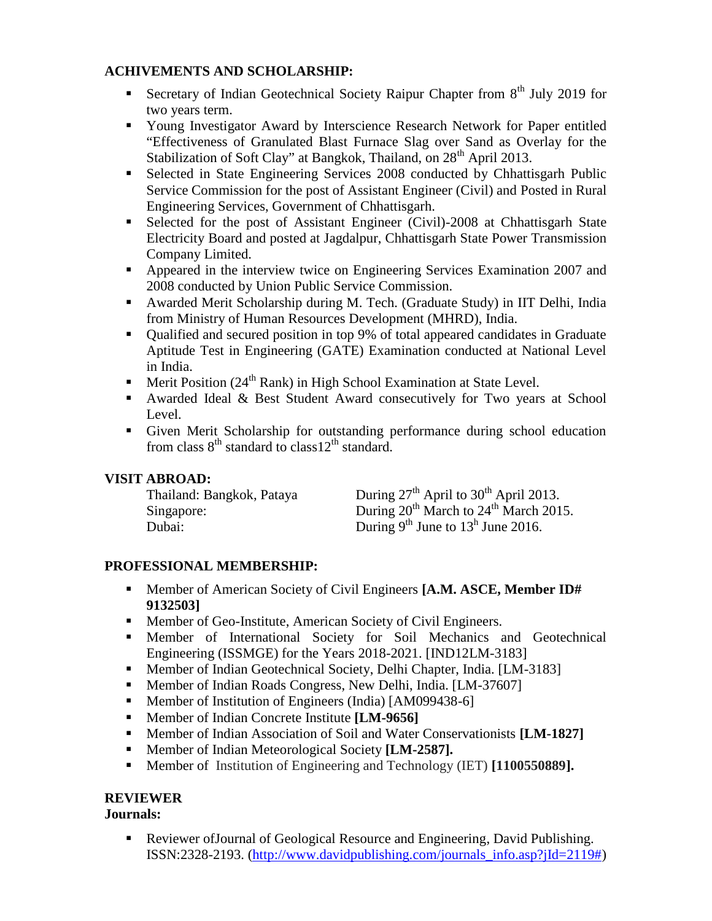# **ACHIVEMENTS AND SCHOLARSHIP:**

- Secretary of Indian Geotechnical Society Raipur Chapter from  $8<sup>th</sup>$  July 2019 for two years term.
- Young Investigator Award by Interscience Research Network for Paper entitled "Effectiveness of Granulated Blast Furnace Slag over Sand as Overlay for the Stabilization of Soft Clay" at Bangkok, Thailand, on 28<sup>th</sup> April 2013.
- Selected in State Engineering Services 2008 conducted by Chhattisgarh Public Service Commission for the post of Assistant Engineer (Civil) and Posted in Rural Engineering Services, Government of Chhattisgarh.
- Selected for the post of Assistant Engineer (Civil)-2008 at Chhattisgarh State Electricity Board and posted at Jagdalpur, Chhattisgarh State Power Transmission Company Limited.
- Appeared in the interview twice on Engineering Services Examination 2007 and 2008 conducted by Union Public Service Commission.
- Awarded Merit Scholarship during M. Tech. (Graduate Study) in IIT Delhi, India from Ministry of Human Resources Development (MHRD), India.
- Qualified and secured position in top 9% of total appeared candidates in Graduate Aptitude Test in Engineering (GATE) Examination conducted at National Level in India.
- **Merit Position (24<sup>th</sup> Rank) in High School Examination at State Level.**
- Awarded Ideal & Best Student Award consecutively for Two years at School Level.
- Given Merit Scholarship for outstanding performance during school education from class  $8<sup>th</sup>$  standard to class  $12<sup>th</sup>$  standard.

# **VISIT ABROAD:**

| Thailand: Bangkok, Pataya | During $27th$ April to $30th$ April 2013.                     |
|---------------------------|---------------------------------------------------------------|
| Singapore:                | During 20 <sup>th</sup> March to 24 <sup>th</sup> March 2015. |
| Dubai:                    | During $9^{th}$ June to $13^{h}$ June 2016.                   |

# **PROFESSIONAL MEMBERSHIP:**

- Member of American Society of Civil Engineers **[A.M. ASCE, Member ID# 9132503]**
- Member of Geo-Institute, American Society of Civil Engineers.
- Member of International Society for Soil Mechanics and Geotechnical Engineering (ISSMGE) for the Years 2018-2021. [IND12LM-3183]
- Member of Indian Geotechnical Society, Delhi Chapter, India. [LM-3183]
- Member of Indian Roads Congress, New Delhi, India. [LM-37607]
- **Member of Institution of Engineers (India) [AM099438-6]**
- Member of Indian Concrete Institute **[LM-9656]**
- Member of Indian Association of Soil and Water Conservationists **[LM-1827]**
- Member of Indian Meteorological Society **[LM-2587].**
- Member of Institution of Engineering and Technology (IET) **[1100550889].**

# **REVIEWER**

# **Journals:**

 Reviewer ofJournal of Geological Resource and Engineering, David Publishing. ISSN:2328-2193. (http://www.davidpublishing.com/journals\_info.asp?jId=2119#)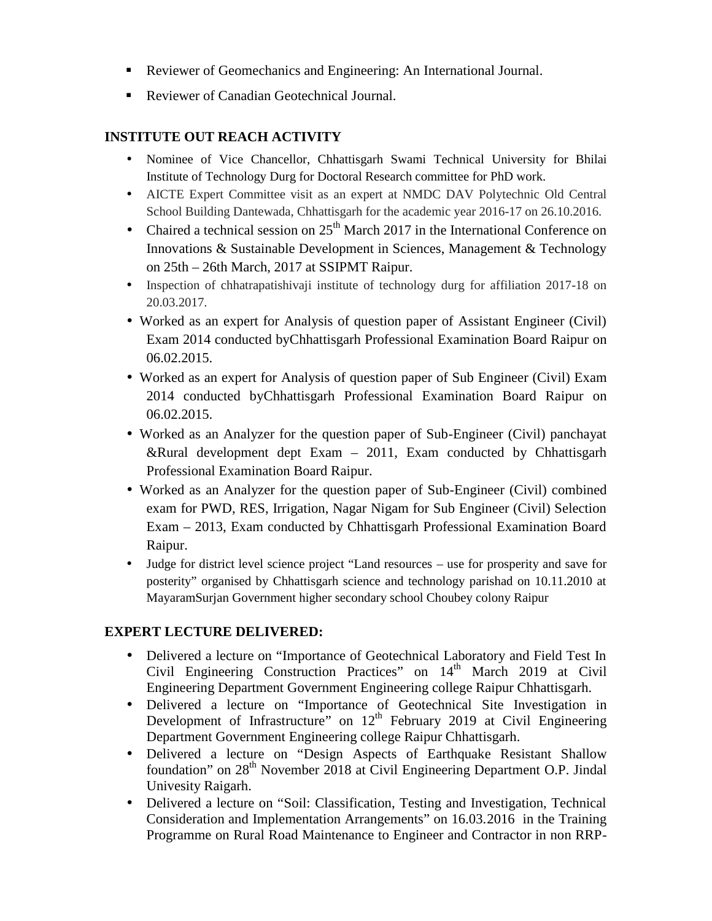- Reviewer of Geomechanics and Engineering: An International Journal.
- Reviewer of Canadian Geotechnical Journal.

# **INSTITUTE OUT REACH ACTIVITY**

- Nominee of Vice Chancellor, Chhattisgarh Swami Technical University for Bhilai Institute of Technology Durg for Doctoral Research committee for PhD work.
- AICTE Expert Committee visit as an expert at NMDC DAV Polytechnic Old Central School Building Dantewada, Chhattisgarh for the academic year 2016-17 on 26.10.2016.
- Chaired a technical session on  $25<sup>th</sup>$  March 2017 in the International Conference on Innovations & Sustainable Development in Sciences, Management & Technology on 25th – 26th March, 2017 at SSIPMT Raipur.
- Inspection of chhatrapatishivaji institute of technology durg for affiliation 2017-18 on 20.03.2017.
- Worked as an expert for Analysis of question paper of Assistant Engineer (Civil) Exam 2014 conducted byChhattisgarh Professional Examination Board Raipur on 06.02.2015.
- Worked as an expert for Analysis of question paper of Sub Engineer (Civil) Exam 2014 conducted byChhattisgarh Professional Examination Board Raipur on 06.02.2015.
- Worked as an Analyzer for the question paper of Sub-Engineer (Civil) panchayat &Rural development dept Exam – 2011, Exam conducted by Chhattisgarh Professional Examination Board Raipur.
- Worked as an Analyzer for the question paper of Sub-Engineer (Civil) combined exam for PWD, RES, Irrigation, Nagar Nigam for Sub Engineer (Civil) Selection Exam – 2013, Exam conducted by Chhattisgarh Professional Examination Board Raipur.
- Judge for district level science project "Land resources use for prosperity and save for posterity" organised by Chhattisgarh science and technology parishad on 10.11.2010 at MayaramSurjan Government higher secondary school Choubey colony Raipur

# **EXPERT LECTURE DELIVERED:**

- Delivered a lecture on "Importance of Geotechnical Laboratory and Field Test In Civil Engineering Construction Practices" on 14<sup>th</sup> March 2019 at Civil Engineering Department Government Engineering college Raipur Chhattisgarh.
- Delivered a lecture on "Importance of Geotechnical Site Investigation in Development of Infrastructure" on  $12<sup>th</sup>$  February 2019 at Civil Engineering Department Government Engineering college Raipur Chhattisgarh.
- Delivered a lecture on "Design Aspects of Earthquake Resistant Shallow foundation" on 28<sup>th</sup> November 2018 at Civil Engineering Department O.P. Jindal Univesity Raigarh.
- Delivered a lecture on "Soil: Classification, Testing and Investigation, Technical Consideration and Implementation Arrangements" on 16.03.2016 in the Training Programme on Rural Road Maintenance to Engineer and Contractor in non RRP-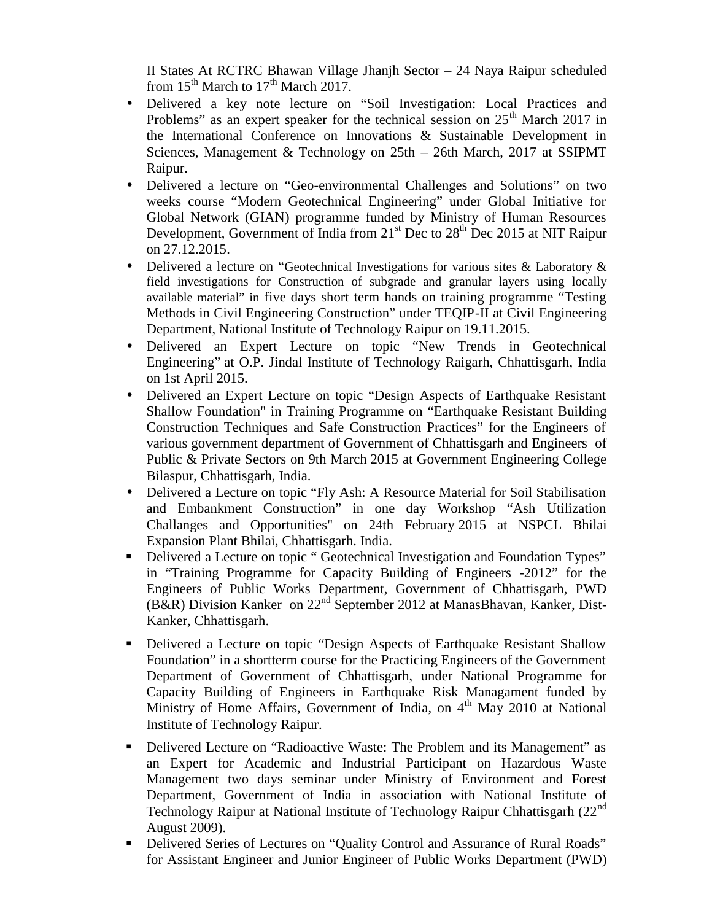II States At RCTRC Bhawan Village Jhanjh Sector – 24 Naya Raipur scheduled from  $15^{th}$  March to  $17^{th}$  March 2017.

- Delivered a key note lecture on "Soil Investigation: Local Practices and Problems" as an expert speaker for the technical session on  $25<sup>th</sup>$  March 2017 in the International Conference on Innovations & Sustainable Development in Sciences, Management & Technology on 25th – 26th March, 2017 at SSIPMT Raipur.
- Delivered a lecture on "Geo-environmental Challenges and Solutions" on two weeks course "Modern Geotechnical Engineering" under Global Initiative for Global Network (GIAN) programme funded by Ministry of Human Resources Development, Government of India from  $21<sup>st</sup>$  Dec to  $28<sup>th</sup>$  Dec 2015 at NIT Raipur on 27.12.2015.
- Delivered a lecture on "Geotechnical Investigations for various sites & Laboratory & field investigations for Construction of subgrade and granular layers using locally available material" in five days short term hands on training programme "Testing Methods in Civil Engineering Construction" under TEQIP-II at Civil Engineering Department, National Institute of Technology Raipur on 19.11.2015.
- Delivered an Expert Lecture on topic "New Trends in Geotechnical Engineering" at O.P. Jindal Institute of Technology Raigarh, Chhattisgarh, India on 1st April 2015.
- Delivered an Expert Lecture on topic "Design Aspects of Earthquake Resistant Shallow Foundation" in Training Programme on "Earthquake Resistant Building Construction Techniques and Safe Construction Practices" for the Engineers of various government department of Government of Chhattisgarh and Engineers of Public & Private Sectors on 9th March 2015 at Government Engineering College Bilaspur, Chhattisgarh, India.
- Delivered a Lecture on topic "Fly Ash: A Resource Material for Soil Stabilisation and Embankment Construction" in one day Workshop "Ash Utilization Challanges and Opportunities" on 24th February 2015 at NSPCL Bhilai Expansion Plant Bhilai, Chhattisgarh. India.
- Delivered a Lecture on topic " Geotechnical Investigation and Foundation Types" in "Training Programme for Capacity Building of Engineers -2012" for the Engineers of Public Works Department, Government of Chhattisgarh, PWD (B&R) Division Kanker on  $22<sup>nd</sup>$  September 2012 at ManasBhavan, Kanker, Dist-Kanker, Chhattisgarh.
- Delivered a Lecture on topic "Design Aspects of Earthquake Resistant Shallow Foundation" in a shortterm course for the Practicing Engineers of the Government Department of Government of Chhattisgarh, under National Programme for Capacity Building of Engineers in Earthquake Risk Managament funded by Ministry of Home Affairs, Government of India, on  $4<sup>th</sup>$  May 2010 at National Institute of Technology Raipur.
- Delivered Lecture on "Radioactive Waste: The Problem and its Management" as an Expert for Academic and Industrial Participant on Hazardous Waste Management two days seminar under Ministry of Environment and Forest Department, Government of India in association with National Institute of Technology Raipur at National Institute of Technology Raipur Chhattisgarh (22nd August 2009).
- Delivered Series of Lectures on "Quality Control and Assurance of Rural Roads" for Assistant Engineer and Junior Engineer of Public Works Department (PWD)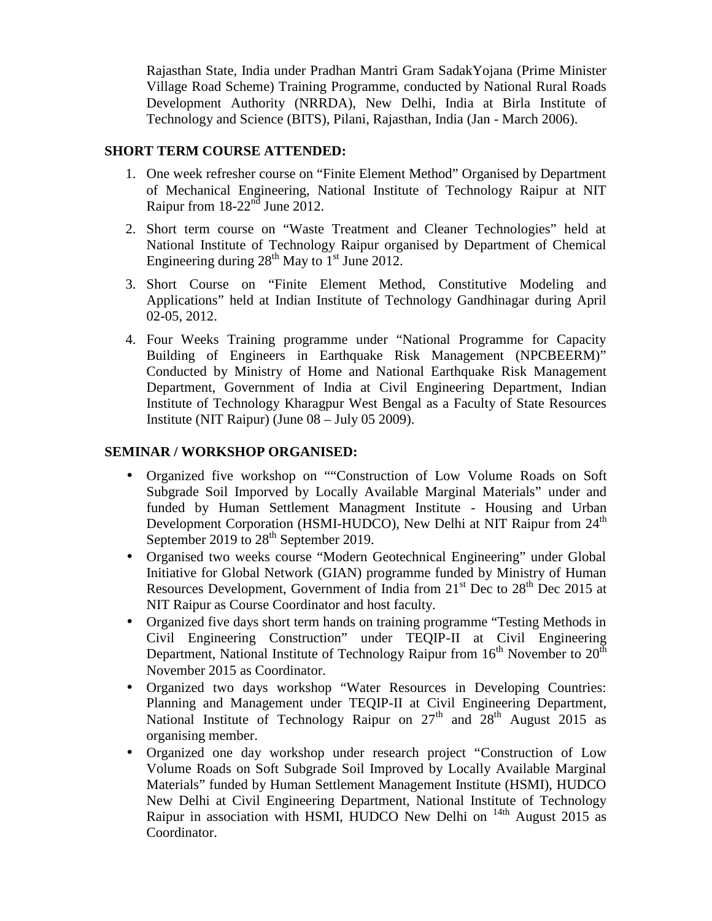Rajasthan State, India under Pradhan Mantri Gram SadakYojana (Prime Minister Village Road Scheme) Training Programme, conducted by National Rural Roads Development Authority (NRRDA), New Delhi, India at Birla Institute of Technology and Science (BITS), Pilani, Rajasthan, India (Jan - March 2006).

#### **SHORT TERM COURSE ATTENDED:**

- 1. One week refresher course on "Finite Element Method" Organised by Department of Mechanical Engineering, National Institute of Technology Raipur at NIT Raipur from  $18-22<sup>nd</sup>$  June 2012.
- 2. Short term course on "Waste Treatment and Cleaner Technologies" held at National Institute of Technology Raipur organised by Department of Chemical Engineering during  $28^{th}$  May to  $1^{st}$  June 2012.
- 3. Short Course on "Finite Element Method, Constitutive Modeling and Applications" held at Indian Institute of Technology Gandhinagar during April 02-05, 2012.
- 4. Four Weeks Training programme under "National Programme for Capacity Building of Engineers in Earthquake Risk Management (NPCBEERM)" Conducted by Ministry of Home and National Earthquake Risk Management Department, Government of India at Civil Engineering Department, Indian Institute of Technology Kharagpur West Bengal as a Faculty of State Resources Institute (NIT Raipur) (June 08 – July 05 2009).

#### **SEMINAR / WORKSHOP ORGANISED:**

- Organized five workshop on ""Construction of Low Volume Roads on Soft Subgrade Soil Imporved by Locally Available Marginal Materials" under and funded by Human Settlement Managment Institute - Housing and Urban Development Corporation (HSMI-HUDCO), New Delhi at NIT Raipur from 24<sup>th</sup> September 2019 to 28<sup>th</sup> September 2019.
- Organised two weeks course "Modern Geotechnical Engineering" under Global Initiative for Global Network (GIAN) programme funded by Ministry of Human Resources Development, Government of India from  $21<sup>st</sup>$  Dec to  $28<sup>th</sup>$  Dec 2015 at NIT Raipur as Course Coordinator and host faculty.
- Organized five days short term hands on training programme "Testing Methods in Civil Engineering Construction" under TEQIP-II at Civil Engineering Department, National Institute of Technology Raipur from  $16<sup>th</sup>$  November to  $20<sup>th</sup>$ November 2015 as Coordinator.
- Organized two days workshop "Water Resources in Developing Countries: Planning and Management under TEQIP-II at Civil Engineering Department, National Institute of Technology Raipur on  $27<sup>th</sup>$  and  $28<sup>th</sup>$  August 2015 as organising member.
- Organized one day workshop under research project "Construction of Low Volume Roads on Soft Subgrade Soil Improved by Locally Available Marginal Materials" funded by Human Settlement Management Institute (HSMI), HUDCO New Delhi at Civil Engineering Department, National Institute of Technology Raipur in association with HSMI, HUDCO New Delhi on <sup>14th</sup> August 2015 as Coordinator.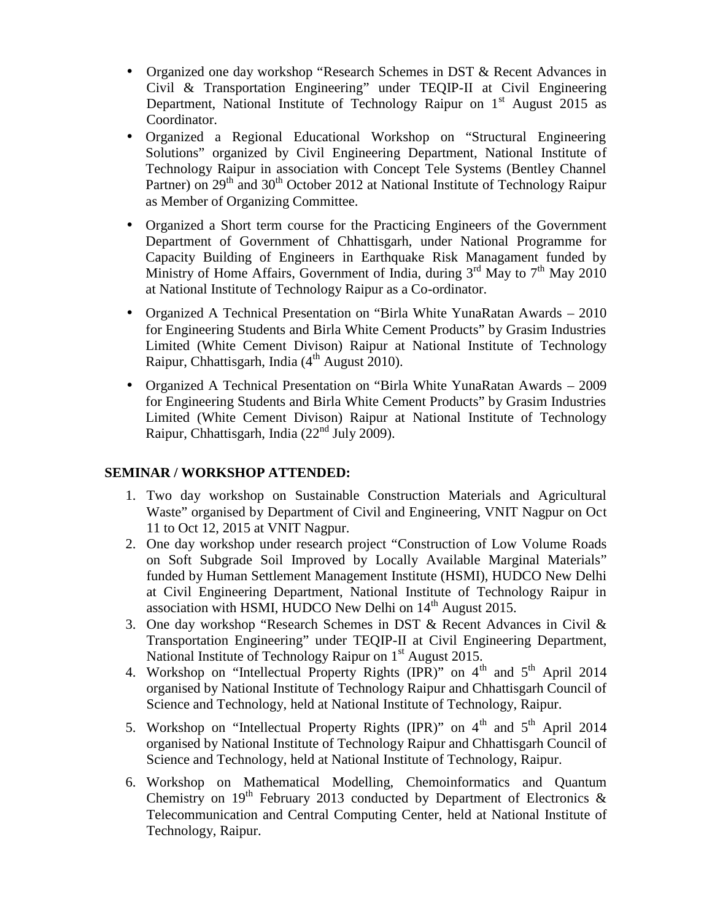- Organized one day workshop "Research Schemes in DST & Recent Advances in Civil & Transportation Engineering" under TEQIP-II at Civil Engineering Department, National Institute of Technology Raipur on  $1<sup>st</sup>$  August 2015 as Coordinator.
- Organized a Regional Educational Workshop on "Structural Engineering Solutions" organized by Civil Engineering Department, National Institute of Technology Raipur in association with Concept Tele Systems (Bentley Channel Partner) on 29<sup>th</sup> and 30<sup>th</sup> October 2012 at National Institute of Technology Raipur as Member of Organizing Committee.
- Organized a Short term course for the Practicing Engineers of the Government Department of Government of Chhattisgarh, under National Programme for Capacity Building of Engineers in Earthquake Risk Managament funded by Ministry of Home Affairs, Government of India, during  $3<sup>rd</sup>$  May to  $7<sup>th</sup>$  May 2010 at National Institute of Technology Raipur as a Co-ordinator.
- Organized A Technical Presentation on "Birla White YunaRatan Awards 2010 for Engineering Students and Birla White Cement Products" by Grasim Industries Limited (White Cement Divison) Raipur at National Institute of Technology Raipur, Chhattisgarh, India  $(4<sup>th</sup>$  August 2010).
- Organized A Technical Presentation on "Birla White YunaRatan Awards 2009 for Engineering Students and Birla White Cement Products" by Grasim Industries Limited (White Cement Divison) Raipur at National Institute of Technology Raipur, Chhattisgarh, India (22nd July 2009).

# **SEMINAR / WORKSHOP ATTENDED:**

- 1. Two day workshop on Sustainable Construction Materials and Agricultural Waste" organised by Department of Civil and Engineering, VNIT Nagpur on Oct 11 to Oct 12, 2015 at VNIT Nagpur.
- 2. One day workshop under research project "Construction of Low Volume Roads on Soft Subgrade Soil Improved by Locally Available Marginal Materials" funded by Human Settlement Management Institute (HSMI), HUDCO New Delhi at Civil Engineering Department, National Institute of Technology Raipur in association with HSMI, HUDCO New Delhi on  $14<sup>th</sup>$  August 2015.
- 3. One day workshop "Research Schemes in DST & Recent Advances in Civil & Transportation Engineering" under TEQIP-II at Civil Engineering Department, National Institute of Technology Raipur on  $1<sup>st</sup>$  August 2015.
- 4. Workshop on "Intellectual Property Rights (IPR)" on  $4<sup>th</sup>$  and  $5<sup>th</sup>$  April 2014 organised by National Institute of Technology Raipur and Chhattisgarh Council of Science and Technology, held at National Institute of Technology, Raipur.
- 5. Workshop on "Intellectual Property Rights (IPR)" on  $4<sup>th</sup>$  and  $5<sup>th</sup>$  April 2014 organised by National Institute of Technology Raipur and Chhattisgarh Council of Science and Technology, held at National Institute of Technology, Raipur.
- 6. Workshop on Mathematical Modelling, Chemoinformatics and Quantum Chemistry on  $19^{th}$  February 2013 conducted by Department of Electronics & Telecommunication and Central Computing Center, held at National Institute of Technology, Raipur.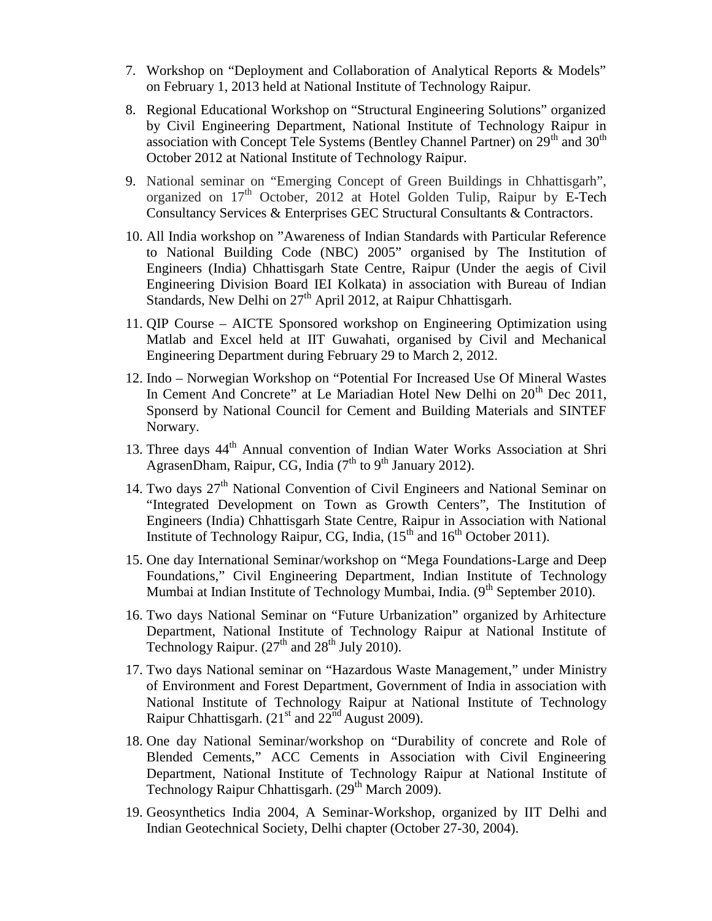- 7. Workshop on "Deployment and Collaboration of Analytical Reports & Models" on February 1, 2013 held at National Institute of Technology Raipur.
- 8. Regional Educational Workshop on "Structural Engineering Solutions" organized by Civil Engineering Department, National Institute of Technology Raipur in association with Concept Tele Systems (Bentley Channel Partner) on  $29<sup>th</sup>$  and  $30<sup>th</sup>$ October 2012 at National Institute of Technology Raipur.
- 9. National seminar on "Emerging Concept of Green Buildings in Chhattisgarh", organized on  $17<sup>th</sup>$  October, 2012 at Hotel Golden Tulip, Raipur by E-Tech Consultancy Services & Enterprises GEC Structural Consultants & Contractors.
- 10. All India workshop on "Awareness of Indian Standards with Particular Reference to National Building Code (NBC) 2005" organised by The Institution of Engineers (India) Chhattisgarh State Centre, Raipur (Under the aegis of Civil Engineering Division Board IEI Kolkata) in association with Bureau of Indian Standards, New Delhi on  $27<sup>th</sup>$  April 2012, at Raipur Chhattisgarh.
- 11. QIP Course AICTE Sponsored workshop on Engineering Optimization using Matlab and Excel held at IIT Guwahati, organised by Civil and Mechanical Engineering Department during February 29 to March 2, 2012.
- 12. Indo Norwegian Workshop on "Potential For Increased Use Of Mineral Wastes In Cement And Concrete" at Le Mariadian Hotel New Delhi on  $20<sup>th</sup>$  Dec 2011, Sponserd by National Council for Cement and Building Materials and SINTEF Norwary.
- 13. Three days  $44<sup>th</sup>$  Annual convention of Indian Water Works Association at Shri AgrasenDham, Raipur, CG, India  $(7<sup>th</sup>$  to  $9<sup>th</sup>$  January 2012).
- 14. Two days 27<sup>th</sup> National Convention of Civil Engineers and National Seminar on "Integrated Development on Town as Growth Centers", The Institution of Engineers (India) Chhattisgarh State Centre, Raipur in Association with National Institute of Technology Raipur, CG, India,  $(15<sup>th</sup>$  and  $16<sup>th</sup>$  October 2011).
- 15. One day International Seminar/workshop on "Mega Foundations-Large and Deep Foundations," Civil Engineering Department, Indian Institute of Technology Mumbai at Indian Institute of Technology Mumbai, India. (9<sup>th</sup> September 2010).
- 16. Two days National Seminar on "Future Urbanization" organized by Arhitecture Department, National Institute of Technology Raipur at National Institute of Technology Raipur.  $(27<sup>th</sup>$  and  $28<sup>th</sup>$  July 2010).
- 17. Two days National seminar on "Hazardous Waste Management," under Ministry of Environment and Forest Department, Government of India in association with National Institute of Technology Raipur at National Institute of Technology Raipur Chhattisgarh.  $(21<sup>st</sup>$  and  $22<sup>nd</sup>$  August 2009).
- 18. One day National Seminar/workshop on "Durability of concrete and Role of Blended Cements," ACC Cements in Association with Civil Engineering Department, National Institute of Technology Raipur at National Institute of Technology Raipur Chhattisgarh.  $(29<sup>th</sup> March 2009)$ .
- 19. Geosynthetics India 2004, A Seminar-Workshop, organized by IIT Delhi and Indian Geotechnical Society, Delhi chapter (October 27-30, 2004).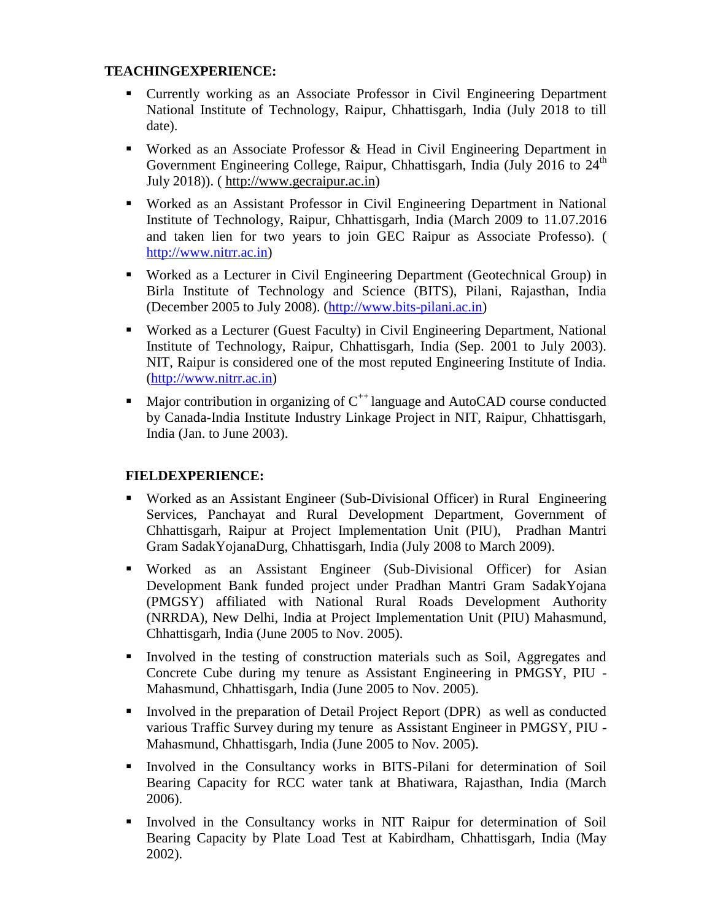# **TEACHINGEXPERIENCE:**

- Currently working as an Associate Professor in Civil Engineering Department National Institute of Technology, Raipur, Chhattisgarh, India (July 2018 to till date).
- Worked as an Associate Professor & Head in Civil Engineering Department in Government Engineering College, Raipur, Chhattisgarh, India (July 2016 to  $24<sup>th</sup>$ July 2018)). (http://www.gecraipur.ac.in)
- Worked as an Assistant Professor in Civil Engineering Department in National Institute of Technology, Raipur, Chhattisgarh, India (March 2009 to 11.07.2016 and taken lien for two years to join GEC Raipur as Associate Professo). ( http://www.nitrr.ac.in)
- Worked as a Lecturer in Civil Engineering Department (Geotechnical Group) in Birla Institute of Technology and Science (BITS), Pilani, Rajasthan, India (December 2005 to July 2008). (http://www.bits-pilani.ac.in)
- Worked as a Lecturer (Guest Faculty) in Civil Engineering Department, National Institute of Technology, Raipur, Chhattisgarh, India (Sep. 2001 to July 2003). NIT, Raipur is considered one of the most reputed Engineering Institute of India. (http://www.nitrr.ac.in)
- Major contribution in organizing of  $C^{++}$  language and AutoCAD course conducted by Canada-India Institute Industry Linkage Project in NIT, Raipur, Chhattisgarh, India (Jan. to June 2003).

# **FIELDEXPERIENCE:**

- Worked as an Assistant Engineer (Sub-Divisional Officer) in Rural Engineering Services, Panchayat and Rural Development Department, Government of Chhattisgarh, Raipur at Project Implementation Unit (PIU), Pradhan Mantri Gram SadakYojanaDurg, Chhattisgarh, India (July 2008 to March 2009).
- Worked as an Assistant Engineer (Sub-Divisional Officer) for Asian Development Bank funded project under Pradhan Mantri Gram SadakYojana (PMGSY) affiliated with National Rural Roads Development Authority (NRRDA), New Delhi, India at Project Implementation Unit (PIU) Mahasmund, Chhattisgarh, India (June 2005 to Nov. 2005).
- Involved in the testing of construction materials such as Soil, Aggregates and Concrete Cube during my tenure as Assistant Engineering in PMGSY, PIU - Mahasmund, Chhattisgarh, India (June 2005 to Nov. 2005).
- Involved in the preparation of Detail Project Report (DPR) as well as conducted various Traffic Survey during my tenure as Assistant Engineer in PMGSY, PIU - Mahasmund, Chhattisgarh, India (June 2005 to Nov. 2005).
- Involved in the Consultancy works in BITS-Pilani for determination of Soil Bearing Capacity for RCC water tank at Bhatiwara, Rajasthan, India (March 2006).
- Involved in the Consultancy works in NIT Raipur for determination of Soil Bearing Capacity by Plate Load Test at Kabirdham, Chhattisgarh, India (May 2002).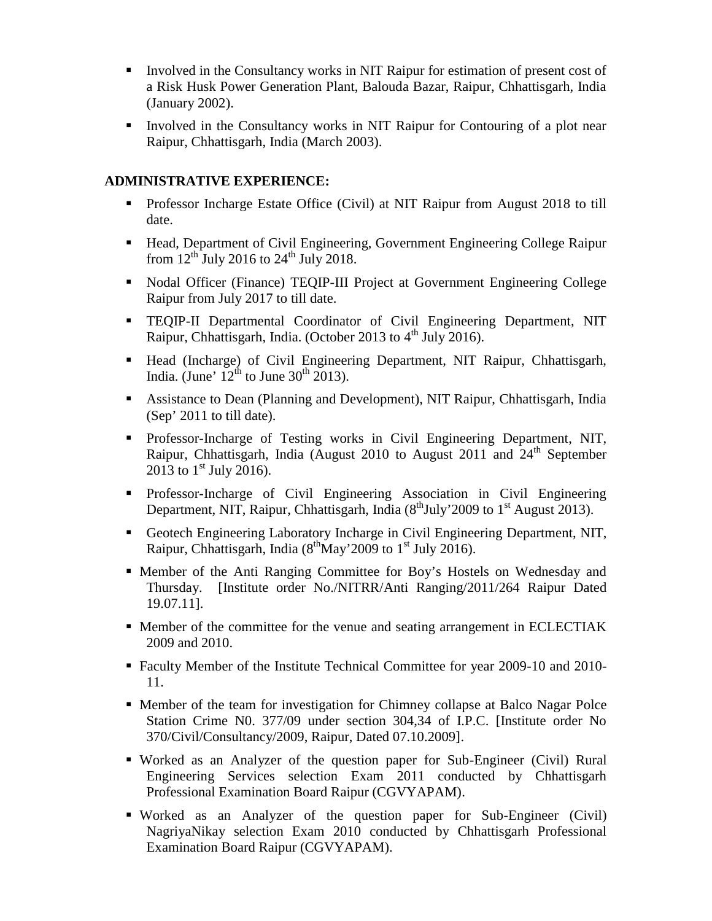- Involved in the Consultancy works in NIT Raipur for estimation of present cost of a Risk Husk Power Generation Plant, Balouda Bazar, Raipur, Chhattisgarh, India (January 2002).
- Involved in the Consultancy works in NIT Raipur for Contouring of a plot near Raipur, Chhattisgarh, India (March 2003).

# **ADMINISTRATIVE EXPERIENCE:**

- **Professor Incharge Estate Office (Civil) at NIT Raipur from August 2018 to till** date.
- Head, Department of Civil Engineering, Government Engineering College Raipur from  $12^{th}$  July 2016 to  $24^{th}$  July 2018.
- Nodal Officer (Finance) TEQIP-III Project at Government Engineering College Raipur from July 2017 to till date.
- TEQIP-II Departmental Coordinator of Civil Engineering Department, NIT Raipur, Chhattisgarh, India. (October 2013 to 4<sup>th</sup> July 2016).
- Head (Incharge) of Civil Engineering Department, NIT Raipur, Chhattisgarh, India. (June'  $12^{th}$  to June 30<sup>th</sup> 2013).
- Assistance to Dean (Planning and Development), NIT Raipur, Chhattisgarh, India (Sep' 2011 to till date).
- **Professor-Incharge of Testing works in Civil Engineering Department, NIT,** Raipur, Chhattisgarh, India (August 2010 to August 2011 and  $24<sup>th</sup>$  September 2013 to  $1^{\text{st}}$  July 2016).
- Professor-Incharge of Civil Engineering Association in Civil Engineering Department, NIT, Raipur, Chhattisgarh, India (8<sup>th</sup>July'2009 to 1<sup>st</sup> August 2013).
- Geotech Engineering Laboratory Incharge in Civil Engineering Department, NIT, Raipur, Chhattisgarh, India (8<sup>th</sup>May'2009 to 1<sup>st</sup> July 2016).
- Member of the Anti Ranging Committee for Boy's Hostels on Wednesday and Thursday. [Institute order No./NITRR/Anti Ranging/2011/264 Raipur Dated 19.07.11].
- Member of the committee for the venue and seating arrangement in ECLECTIAK 2009 and 2010.
- Faculty Member of the Institute Technical Committee for year 2009-10 and 2010- 11.
- Member of the team for investigation for Chimney collapse at Balco Nagar Polce Station Crime N0. 377/09 under section 304,34 of I.P.C. [Institute order No 370/Civil/Consultancy/2009, Raipur, Dated 07.10.2009].
- Worked as an Analyzer of the question paper for Sub-Engineer (Civil) Rural Engineering Services selection Exam 2011 conducted by Chhattisgarh Professional Examination Board Raipur (CGVYAPAM).
- Worked as an Analyzer of the question paper for Sub-Engineer (Civil) NagriyaNikay selection Exam 2010 conducted by Chhattisgarh Professional Examination Board Raipur (CGVYAPAM).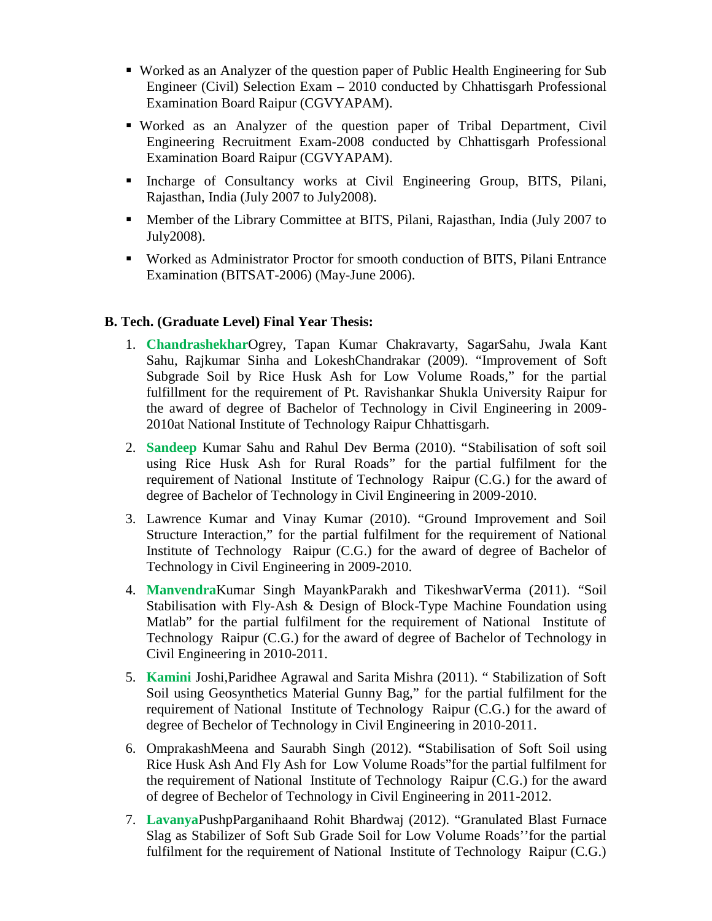- Worked as an Analyzer of the question paper of Public Health Engineering for Sub Engineer (Civil) Selection Exam – 2010 conducted by Chhattisgarh Professional Examination Board Raipur (CGVYAPAM).
- Worked as an Analyzer of the question paper of Tribal Department, Civil Engineering Recruitment Exam-2008 conducted by Chhattisgarh Professional Examination Board Raipur (CGVYAPAM).
- Incharge of Consultancy works at Civil Engineering Group, BITS, Pilani, Rajasthan, India (July 2007 to July2008).
- Member of the Library Committee at BITS, Pilani, Rajasthan, India (July 2007 to July2008).
- Worked as Administrator Proctor for smooth conduction of BITS, Pilani Entrance Examination (BITSAT-2006) (May-June 2006).

# **B. Tech. (Graduate Level) Final Year Thesis:**

- 1. **Chandrashekhar**Ogrey, Tapan Kumar Chakravarty, SagarSahu, Jwala Kant Sahu, Rajkumar Sinha and LokeshChandrakar (2009). "Improvement of Soft Subgrade Soil by Rice Husk Ash for Low Volume Roads," for the partial fulfillment for the requirement of Pt. Ravishankar Shukla University Raipur for the award of degree of Bachelor of Technology in Civil Engineering in 2009- 2010at National Institute of Technology Raipur Chhattisgarh.
- 2. **Sandeep** Kumar Sahu and Rahul Dev Berma (2010). "Stabilisation of soft soil using Rice Husk Ash for Rural Roads" for the partial fulfilment for the requirement of National Institute of Technology Raipur (C.G.) for the award of degree of Bachelor of Technology in Civil Engineering in 2009-2010.
- 3. Lawrence Kumar and Vinay Kumar (2010). "Ground Improvement and Soil Structure Interaction," for the partial fulfilment for the requirement of National Institute of Technology Raipur (C.G.) for the award of degree of Bachelor of Technology in Civil Engineering in 2009-2010.
- 4. **Manvendra**Kumar Singh MayankParakh and TikeshwarVerma (2011). "Soil Stabilisation with Fly-Ash & Design of Block-Type Machine Foundation using Matlab" for the partial fulfilment for the requirement of National Institute of Technology Raipur (C.G.) for the award of degree of Bachelor of Technology in Civil Engineering in 2010-2011.
- 5. **Kamini** Joshi,Paridhee Agrawal and Sarita Mishra (2011). " Stabilization of Soft Soil using Geosynthetics Material Gunny Bag," for the partial fulfilment for the requirement of National Institute of Technology Raipur (C.G.) for the award of degree of Bechelor of Technology in Civil Engineering in 2010-2011.
- 6. OmprakashMeena and Saurabh Singh (2012). **"**Stabilisation of Soft Soil using Rice Husk Ash And Fly Ash for Low Volume Roads"for the partial fulfilment for the requirement of National Institute of Technology Raipur (C.G.) for the award of degree of Bechelor of Technology in Civil Engineering in 2011-2012.
- 7. **Lavanya**PushpParganihaand Rohit Bhardwaj (2012). "Granulated Blast Furnace Slag as Stabilizer of Soft Sub Grade Soil for Low Volume Roads''for the partial fulfilment for the requirement of National Institute of Technology Raipur (C.G.)